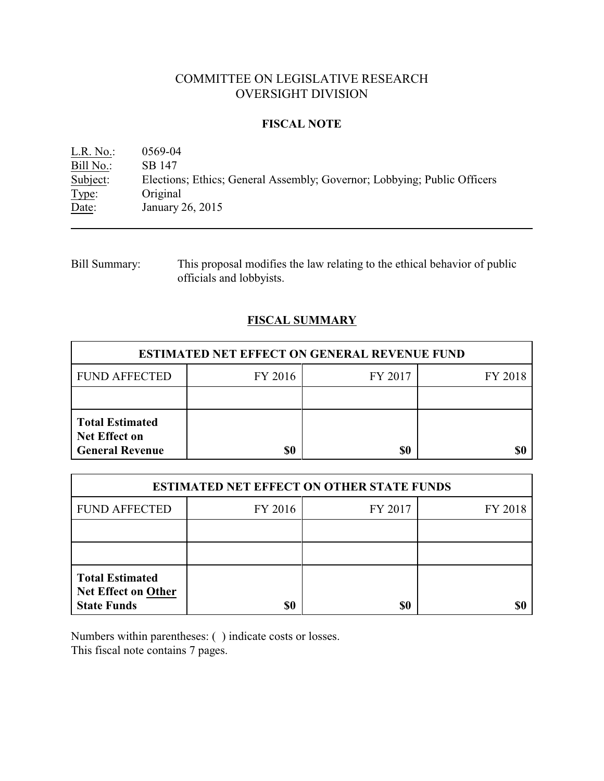# COMMITTEE ON LEGISLATIVE RESEARCH OVERSIGHT DIVISION

### **FISCAL NOTE**

L.R. No.: 0569-04 Bill No.: SB 147<br>Subject: Election Elections; Ethics; General Assembly; Governor; Lobbying; Public Officers Type: Original Date: January 26, 2015

Bill Summary: This proposal modifies the law relating to the ethical behavior of public officials and lobbyists.

## **FISCAL SUMMARY**

| <b>ESTIMATED NET EFFECT ON GENERAL REVENUE FUND</b>                      |         |         |         |  |  |  |
|--------------------------------------------------------------------------|---------|---------|---------|--|--|--|
| <b>FUND AFFECTED</b>                                                     | FY 2016 | FY 2017 | FY 2018 |  |  |  |
|                                                                          |         |         |         |  |  |  |
| <b>Total Estimated</b><br><b>Net Effect on</b><br><b>General Revenue</b> | \$0     | \$0     |         |  |  |  |

| <b>ESTIMATED NET EFFECT ON OTHER STATE FUNDS</b>                           |         |         |         |  |  |  |
|----------------------------------------------------------------------------|---------|---------|---------|--|--|--|
| <b>FUND AFFECTED</b>                                                       | FY 2016 | FY 2017 | FY 2018 |  |  |  |
|                                                                            |         |         |         |  |  |  |
|                                                                            |         |         |         |  |  |  |
| <b>Total Estimated</b><br><b>Net Effect on Other</b><br><b>State Funds</b> | \$0     | \$0     |         |  |  |  |

Numbers within parentheses: ( ) indicate costs or losses. This fiscal note contains 7 pages.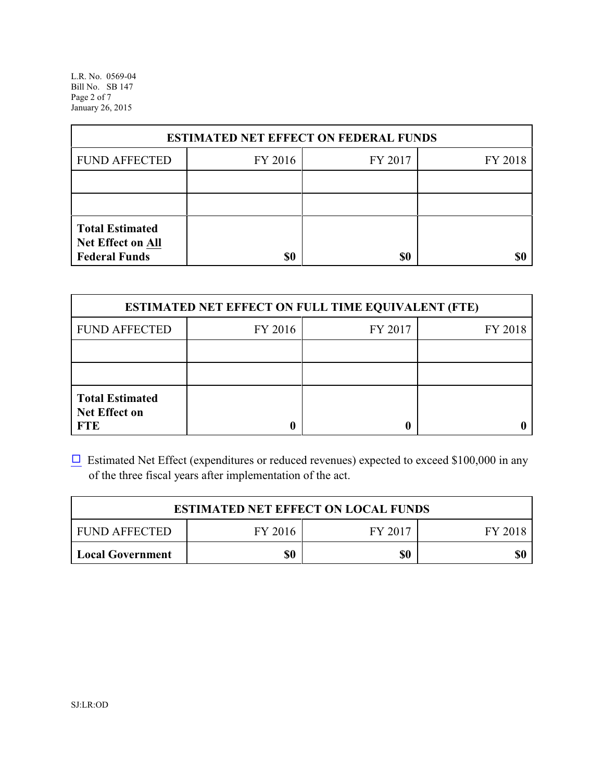L.R. No. 0569-04 Bill No. SB 147 Page 2 of 7 January 26, 2015

| <b>ESTIMATED NET EFFECT ON FEDERAL FUNDS</b> |         |         |         |  |  |  |
|----------------------------------------------|---------|---------|---------|--|--|--|
| <b>FUND AFFECTED</b>                         | FY 2016 | FY 2017 | FY 2018 |  |  |  |
|                                              |         |         |         |  |  |  |
|                                              |         |         |         |  |  |  |
| <b>Total Estimated</b><br>Net Effect on All  |         |         |         |  |  |  |
| <b>Federal Funds</b>                         | \$0     | \$0     |         |  |  |  |

| <b>ESTIMATED NET EFFECT ON FULL TIME EQUIVALENT (FTE)</b>    |         |         |         |  |  |  |
|--------------------------------------------------------------|---------|---------|---------|--|--|--|
| <b>FUND AFFECTED</b>                                         | FY 2016 | FY 2017 | FY 2018 |  |  |  |
|                                                              |         |         |         |  |  |  |
|                                                              |         |         |         |  |  |  |
| <b>Total Estimated</b><br><b>Net Effect on</b><br><b>FTE</b> |         |         |         |  |  |  |

 $\Box$  Estimated Net Effect (expenditures or reduced revenues) expected to exceed \$100,000 in any of the three fiscal years after implementation of the act.

| <b>ESTIMATED NET EFFECT ON LOCAL FUNDS</b> |     |  |  |  |  |
|--------------------------------------------|-----|--|--|--|--|
| FY 2016<br>FY 2017<br><b>FUND AFFECTED</b> |     |  |  |  |  |
| <b>Local Government</b>                    | \$0 |  |  |  |  |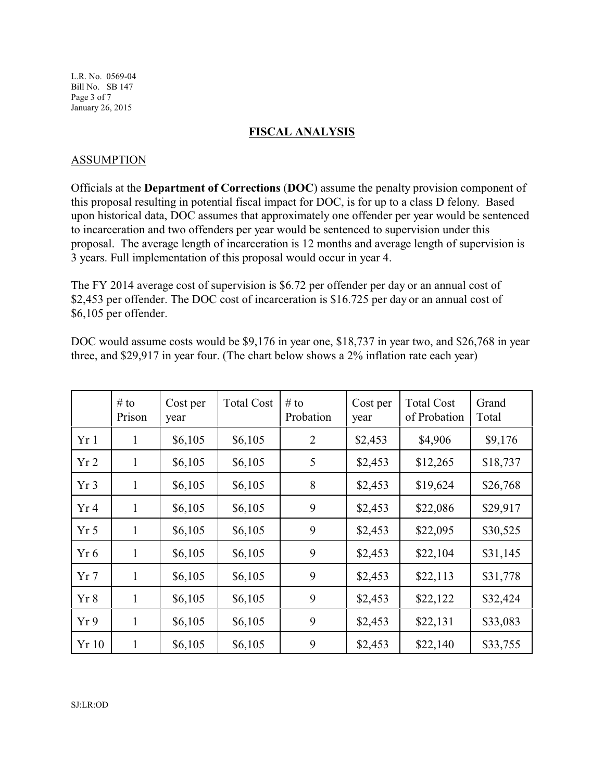L.R. No. 0569-04 Bill No. SB 147 Page 3 of 7 January 26, 2015

#### **FISCAL ANALYSIS**

#### ASSUMPTION

Officials at the **Department of Corrections** (**DOC**) assume the penalty provision component of this proposal resulting in potential fiscal impact for DOC, is for up to a class D felony. Based upon historical data, DOC assumes that approximately one offender per year would be sentenced to incarceration and two offenders per year would be sentenced to supervision under this proposal. The average length of incarceration is 12 months and average length of supervision is 3 years. Full implementation of this proposal would occur in year 4.

The FY 2014 average cost of supervision is \$6.72 per offender per day or an annual cost of \$2,453 per offender. The DOC cost of incarceration is \$16.725 per day or an annual cost of \$6,105 per offender.

| DOC would assume costs would be \$9,176 in year one, \$18,737 in year two, and \$26,768 in year |
|-------------------------------------------------------------------------------------------------|
| three, and \$29,917 in year four. (The chart below shows a 2% inflation rate each year)         |

|                 | # to<br>Prison | Cost per<br>year | <b>Total Cost</b> | # to<br>Probation | Cost per<br>year | <b>Total Cost</b><br>of Probation | Grand<br>Total |
|-----------------|----------------|------------------|-------------------|-------------------|------------------|-----------------------------------|----------------|
| Yr1             | 1              | \$6,105          | \$6,105           | $\overline{2}$    | \$2,453          | \$4,906                           | \$9,176        |
| Yr <sub>2</sub> | 1              | \$6,105          | \$6,105           | 5                 | \$2,453          | \$12,265                          | \$18,737       |
| Yr3             | 1              | \$6,105          | \$6,105           | 8                 | \$2,453          | \$19,624                          | \$26,768       |
| Yr <sub>4</sub> | 1              | \$6,105          | \$6,105           | 9                 | \$2,453          | \$22,086                          | \$29,917       |
| Yr <sub>5</sub> | 1              | \$6,105          | \$6,105           | 9                 | \$2,453          | \$22,095                          | \$30,525       |
| Yr 6            | $\mathbf{1}$   | \$6,105          | \$6,105           | 9                 | \$2,453          | \$22,104                          | \$31,145       |
| Yr <sub>7</sub> | 1              | \$6,105          | \$6,105           | 9                 | \$2,453          | \$22,113                          | \$31,778       |
| Yr 8            | $\mathbf{1}$   | \$6,105          | \$6,105           | 9                 | \$2,453          | \$22,122                          | \$32,424       |
| Yr9             | $\mathbf{1}$   | \$6,105          | \$6,105           | 9                 | \$2,453          | \$22,131                          | \$33,083       |
| Yr 10           | $\mathbf{1}$   | \$6,105          | \$6,105           | 9                 | \$2,453          | \$22,140                          | \$33,755       |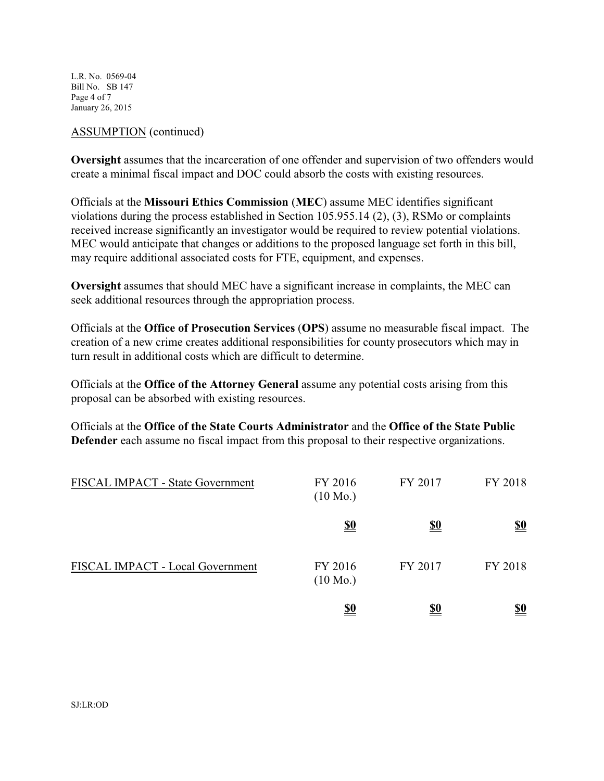L.R. No. 0569-04 Bill No. SB 147 Page 4 of 7 January 26, 2015

### ASSUMPTION (continued)

**Oversight** assumes that the incarceration of one offender and supervision of two offenders would create a minimal fiscal impact and DOC could absorb the costs with existing resources.

Officials at the **Missouri Ethics Commission** (**MEC**) assume MEC identifies significant violations during the process established in Section 105.955.14 (2), (3), RSMo or complaints received increase significantly an investigator would be required to review potential violations. MEC would anticipate that changes or additions to the proposed language set forth in this bill, may require additional associated costs for FTE, equipment, and expenses.

**Oversight** assumes that should MEC have a significant increase in complaints, the MEC can seek additional resources through the appropriation process.

Officials at the **Office of Prosecution Services** (**OPS**) assume no measurable fiscal impact. The creation of a new crime creates additional responsibilities for county prosecutors which may in turn result in additional costs which are difficult to determine.

Officials at the **Office of the Attorney General** assume any potential costs arising from this proposal can be absorbed with existing resources.

Officials at the **Office of the State Courts Administrator** and the **Office of the State Public Defender** each assume no fiscal impact from this proposal to their respective organizations.

| FISCAL IMPACT - State Government | FY 2016<br>$(10 \text{ Mo.})$ | FY 2017    | FY 2018    |
|----------------------------------|-------------------------------|------------|------------|
|                                  | <u>\$0</u>                    | <u>\$0</u> | <u>\$0</u> |
| FISCAL IMPACT - Local Government | FY 2016<br>$(10 \text{ Mo.})$ | FY 2017    | FY 2018    |
|                                  | <u>\$0</u>                    | <u>\$0</u> | <u>\$0</u> |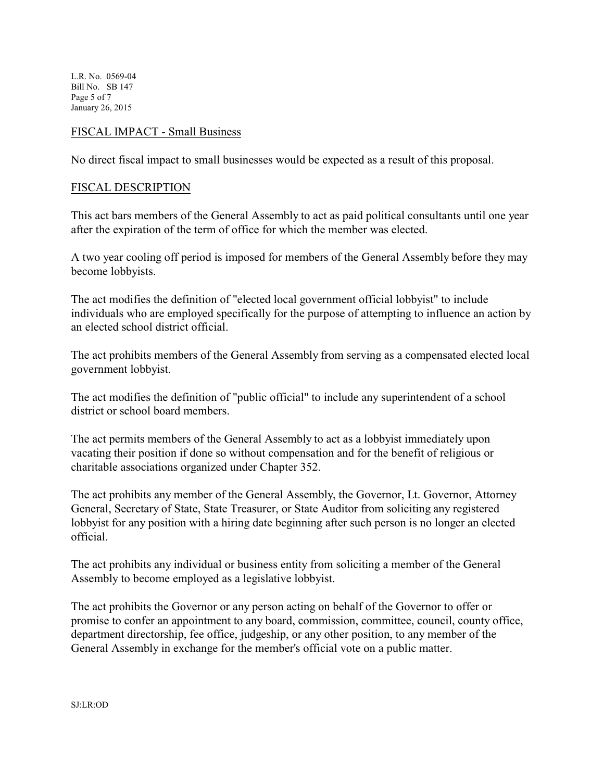L.R. No. 0569-04 Bill No. SB 147 Page 5 of 7 January 26, 2015

### FISCAL IMPACT - Small Business

No direct fiscal impact to small businesses would be expected as a result of this proposal.

### FISCAL DESCRIPTION

This act bars members of the General Assembly to act as paid political consultants until one year after the expiration of the term of office for which the member was elected.

A two year cooling off period is imposed for members of the General Assembly before they may become lobbyists.

The act modifies the definition of "elected local government official lobbyist" to include individuals who are employed specifically for the purpose of attempting to influence an action by an elected school district official.

The act prohibits members of the General Assembly from serving as a compensated elected local government lobbyist.

The act modifies the definition of "public official" to include any superintendent of a school district or school board members.

The act permits members of the General Assembly to act as a lobbyist immediately upon vacating their position if done so without compensation and for the benefit of religious or charitable associations organized under Chapter 352.

The act prohibits any member of the General Assembly, the Governor, Lt. Governor, Attorney General, Secretary of State, State Treasurer, or State Auditor from soliciting any registered lobbyist for any position with a hiring date beginning after such person is no longer an elected official.

The act prohibits any individual or business entity from soliciting a member of the General Assembly to become employed as a legislative lobbyist.

The act prohibits the Governor or any person acting on behalf of the Governor to offer or promise to confer an appointment to any board, commission, committee, council, county office, department directorship, fee office, judgeship, or any other position, to any member of the General Assembly in exchange for the member's official vote on a public matter.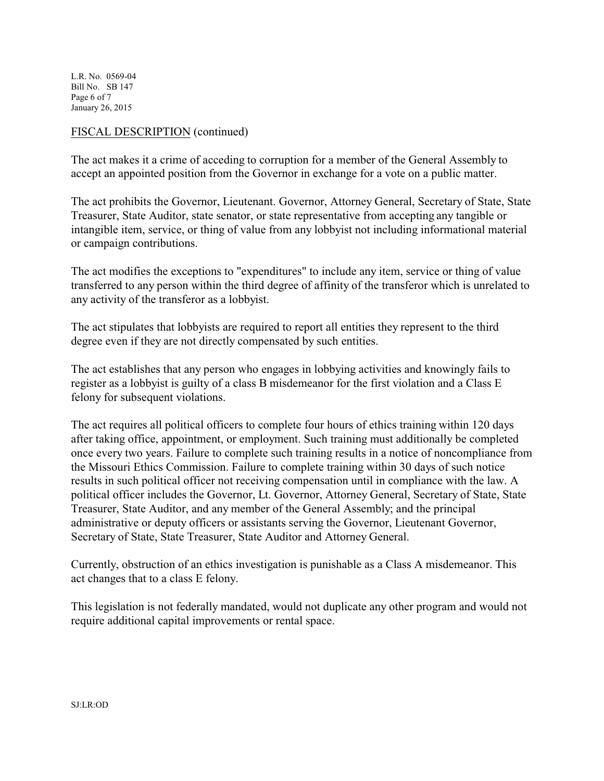L.R. No. 0569-04 Bill No. SB 147 Page 6 of 7 January 26, 2015

### FISCAL DESCRIPTION (continued)

The act makes it a crime of acceding to corruption for a member of the General Assembly to accept an appointed position from the Governor in exchange for a vote on a public matter.

The act prohibits the Governor, Lieutenant. Governor, Attorney General, Secretary of State, State Treasurer, State Auditor, state senator, or state representative from accepting any tangible or intangible item, service, or thing of value from any lobbyist not including informational material or campaign contributions.

The act modifies the exceptions to "expenditures" to include any item, service or thing of value transferred to any person within the third degree of affinity of the transferor which is unrelated to any activity of the transferor as a lobbyist.

The act stipulates that lobbyists are required to report all entities they represent to the third degree even if they are not directly compensated by such entities.

The act establishes that any person who engages in lobbying activities and knowingly fails to register as a lobbyist is guilty of a class B misdemeanor for the first violation and a Class E felony for subsequent violations.

The act requires all political officers to complete four hours of ethics training within 120 days after taking office, appointment, or employment. Such training must additionally be completed once every two years. Failure to complete such training results in a notice of noncompliance from the Missouri Ethics Commission. Failure to complete training within 30 days of such notice results in such political officer not receiving compensation until in compliance with the law. A political officer includes the Governor, Lt. Governor, Attorney General, Secretary of State, State Treasurer, State Auditor, and any member of the General Assembly; and the principal administrative or deputy officers or assistants serving the Governor, Lieutenant Governor, Secretary of State, State Treasurer, State Auditor and Attorney General.

Currently, obstruction of an ethics investigation is punishable as a Class A misdemeanor. This act changes that to a class E felony.

This legislation is not federally mandated, would not duplicate any other program and would not require additional capital improvements or rental space.